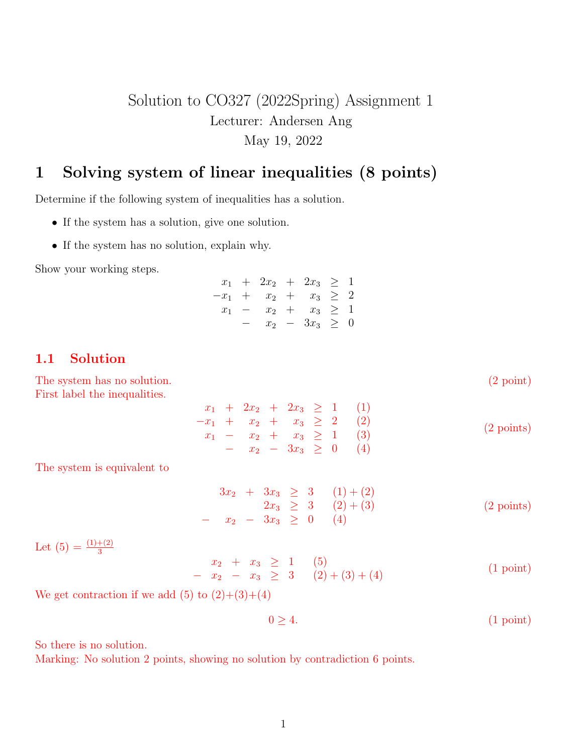## Solution to CO327 (2022Spring) Assignment 1 Lecturer: Andersen Ang May 19, 2022

## 1 Solving system of linear inequalities (8 points)

Determine if the following system of inequalities has a solution.

- If the system has a solution, give one solution.
- If the system has no solution, explain why.

Show your working steps.

|  | $x_1 + 2x_2 + 2x_3 \geq 1$ |                     |  |
|--|----------------------------|---------------------|--|
|  | $-x_1 + x_2 + x_3 \geq 2$  |                     |  |
|  | $x_1 - x_2 + x_3 \geq 1$   |                     |  |
|  |                            | $x_2 - 3x_3 \geq 0$ |  |

## 1.1 Solution

The system has no solution. (2 point) (2 point) First label the inequalities.  $x_1 + 2x_2 + 2x_3 \ge 1$  (1)  $-x_1 + x_2 + x_3 \geq 2$  (2)  $x_1 - x_2 + x_3 \ge 1$  (3) −  $x_2$  −  $3x_3$  ≥ 0 (4) (2 points) The system is equivalent to  $3x_2 + 3x_3 \geq 3$   $(1) + (2)$  $2x_3 \geq 3$   $(2)+(3)$ −  $x_2$  −  $3x_3$  ≥ 0 (4) (2 points) Let  $(5) = \frac{(1)+(2)}{3}$  $\begin{array}{ccccccccc}\nx_2 & + & x_3 & \ge & 1 & (5) \\
-x_2 & - & x_3 & \ge & 3 & (2) + (3) + (4)\n\end{array}$ (1 point) We get contraction if we add  $(5)$  to  $(2)+(3)+(4)$ 

 $0 > 4.$  (1 point)

So there is no solution.

Marking: No solution 2 points, showing no solution by contradiction 6 points.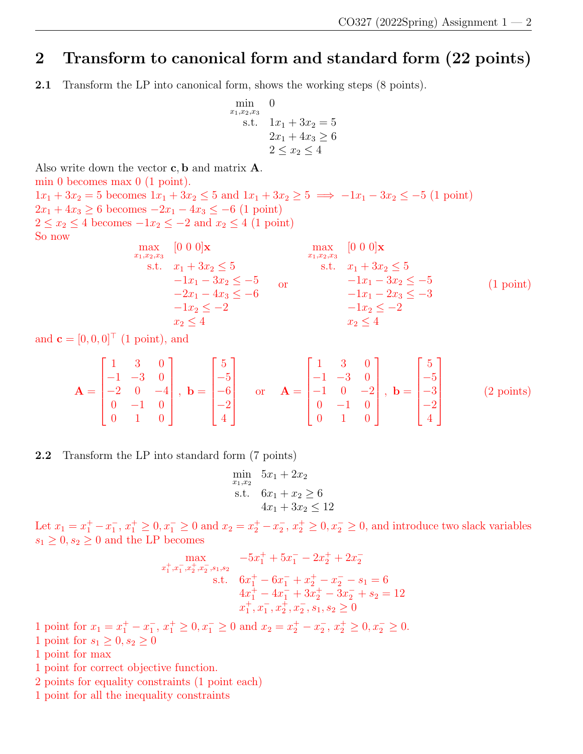## 2 Transform to canonical form and standard form (22 points)

2.1 Transform the LP into canonical form, shows the working steps (8 points).

min  
\n<sub>x<sub>1</sub>,x<sub>2</sub>,x<sub>3</sub></sub> 0  
\ns.t. 
$$
1x_1 + 3x_2 = 5
$$
  
\n $2x_1 + 4x_3 \ge 6$   
\n $2 \le x_2 \le 4$ 

Also write down the vector  $c, b$  and matrix  $A$ .

min 0 becomes max 0 (1 point).

 $1x_1 + 3x_2 = 5$  becomes  $1x_1 + 3x_2 \le 5$  and  $1x_1 + 3x_2 \ge 5 \implies -1x_1 - 3x_2 \le -5$  (1 point)  $2x_1 + 4x_3 \ge 6$  becomes  $-2x_1 - 4x_3 \le -6$  (1 point)  $2 \le x_2 \le 4$  becomes  $-1x_2 \le -2$  and  $x_2 \le 4$  (1 point) So now

$$
\begin{array}{ll}\n\max_{x_1, x_2, x_3} & [0 \ 0 \ 0 \ 0] \mathbf{x} & \max_{x_1, x_2, x_3} & [0 \ 0 \ 0] \mathbf{x} & \max_{x_1, x_2, x_3} & [0 \ 0 \ 0] \mathbf{x} & \text{ s.t. } x_1 + 3x_2 \le 5 \\
& -1x_1 - 3x_2 \le -5 & \text{ s.t. } x_1 + 3x_2 \le 5 \\
& -2x_1 - 4x_3 \le -6 & \text{ s.t. } x_1 - 2x_3 \le -5 \\
& -1x_2 \le -2 & \text{ s.t. } x_2 \le -2 \\
& -1x_2 \le -2 & \text{ s.t. } x_3 \le -5 \\
& -1x_2 \le -2 & \text{ s.t. } x_3 \le -5 \\
& -1x_2 \le -2 & \text{ s.t. } x_3 \le -5 \\
& -1x_2 \le -2 & \text{ s.t. } x_3 \le -5 \\
& -1x_2 \le -2 & \text{ s.t. } x_3 \le -5 \\
& -1x_2 \le -2 & \text{ s.t. } x_3 \le -5 \\
& -1x_2 \le -2 & \text{ s.t. } x_3 \le -5 \\
& -1x_2 \le -2 & \text{ s.t. } x_3 \le -5 \\
& -1x_2 \le -2 & \text{ s.t. } x_3 \le -5 \\
& -1x_2 \le -2 & \text{ s.t. } x_3 \le -5 \\
& -1x_2 \le -2 & \text{ s.t. } x_3 \le -5 & \text{ s.t. } x_3 \le -5 & \text{ s.t. } x_3 \le -5 & \text{ s.t. } x_3 \le -5 & \text{ s.t. } x_3 \le -5 & \text{ s.t. } x_3 \le -5 & \text{ s.t. } x_3 \le -5 & \text{ s.t. } x_3 \le -5 & \text{ s.t. } x_3 \le -5 & \text{ s.t. } x_3 \le -5 & \text{ s.t. } x_3 \le -5 & \text{ s.t. } x_3 \le -5 & \text{ s
$$

and  $\mathbf{c} = [0, 0, 0]^\top$  (1 point), and

$$
\mathbf{A} = \begin{bmatrix} 1 & 3 & 0 \\ -1 & -3 & 0 \\ -2 & 0 & -4 \\ 0 & -1 & 0 \\ 0 & 1 & 0 \end{bmatrix}, \quad \mathbf{b} = \begin{bmatrix} 5 \\ -5 \\ -6 \\ -2 \\ 4 \end{bmatrix} \quad \text{or} \quad \mathbf{A} = \begin{bmatrix} 1 & 3 & 0 \\ -1 & -3 & 0 \\ -1 & 0 & -2 \\ 0 & -1 & 0 \\ 0 & 1 & 0 \end{bmatrix}, \quad \mathbf{b} = \begin{bmatrix} 5 \\ -5 \\ -3 \\ -2 \\ 4 \end{bmatrix}
$$
 (2 points)

2.2 Transform the LP into standard form (7 points)

$$
\min_{x_1, x_2} 5x_1 + 2x_2
$$
  
s.t. 
$$
6x_1 + x_2 \ge 6
$$

$$
4x_1 + 3x_2 \le 12
$$

Let  $x_1 = x_1^+ - x_1^-$ ,  $x_1^+ \ge 0$ ,  $x_1^- \ge 0$  and  $x_2 = x_2^+ - x_2^-$ ,  $x_2^+ \ge 0$ ,  $x_2^- \ge 0$ , and introduce two slack variables  $s_1 \geq 0, s_2 \geq 0$  and the LP becomes

$$
\max_{x_1^+, x_1^-, x_2^+, x_2^-, s_1, s_2} \quad -5x_1^+ + 5x_1^- - 2x_2^+ + 2x_2^-
$$
\n
$$
\text{s.t.} \quad 6x_1^+ - 6x_1^- + x_2^+ - x_2^- - s_1 = 6
$$
\n
$$
4x_1^+ - 4x_1^- + 3x_2^+ - 3x_2^- + s_2 = 12
$$
\n
$$
x_1^+, x_1^-, x_2^+, x_2^-, s_1, s_2 \ge 0
$$

1 point for  $x_1 = x_1^+ - x_1^-$ ,  $x_1^+ \ge 0$ ,  $x_1^- \ge 0$  and  $x_2 = x_2^+ - x_2^-$ ,  $x_2^+ \ge 0$ ,  $x_2^- \ge 0$ .

- 1 point for  $s_1 \geq 0, s_2 \geq 0$
- 1 point for max
- 1 point for correct objective function.
- 2 points for equality constraints (1 point each)
- 1 point for all the inequality constraints